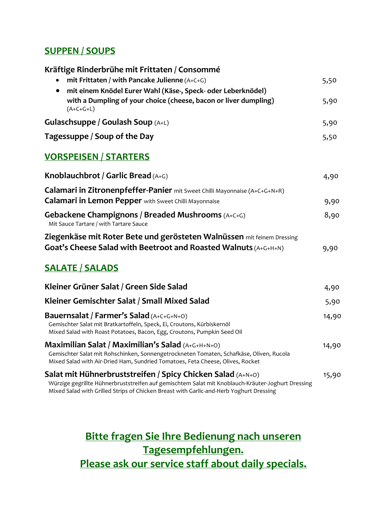### **SUPPEN / SOUPS**

| Kräftige Rinderbrühe mit Frittaten / Consommé                                                                                                                                                |       |
|----------------------------------------------------------------------------------------------------------------------------------------------------------------------------------------------|-------|
| mit Frittaten / with Pancake Julienne (A+C+G)                                                                                                                                                | 5,50  |
| mit einem Knödel Eurer Wahl (Käse-, Speck- oder Leberknödel)                                                                                                                                 |       |
| with a Dumpling of your choice (cheese, bacon or liver dumpling)<br>$(A+C+G+L)$                                                                                                              | 5,90  |
| <b>Gulaschsuppe / Goulash Soup</b> (A+L)                                                                                                                                                     | 5,90  |
| Tagessuppe / Soup of the Day                                                                                                                                                                 | 5,50  |
| <b>VORSPEISEN / STARTERS</b>                                                                                                                                                                 |       |
| Knoblauchbrot / Garlic Bread $(A+C)$                                                                                                                                                         | 4,90  |
| Calamari in Zitronenpfeffer-Panier mit Sweet Chilli Mayonnaise (A+C+G+N+R)                                                                                                                   |       |
| <b>Calamari in Lemon Pepper</b> with Sweet Chilli Mayonnaise                                                                                                                                 | 9,90  |
| <b>Gebackene Champignons / Breaded Mushrooms</b> (A+C+G)<br>Mit Sauce Tartare / with Tartare Sauce                                                                                           | 8,90  |
| Ziegenkäse mit Roter Bete und gerösteten Walnüssen mit feinem Dressing<br>Goat's Cheese Salad with Beetroot and Roasted Walnuts (A+G+H+N)                                                    | 9,90  |
| <b>SALATE / SALADS</b>                                                                                                                                                                       |       |
| Kleiner Grüner Salat / Green Side Salad                                                                                                                                                      | 4,90  |
| Kleiner Gemischter Salat / Small Mixed Salad                                                                                                                                                 | 5,90  |
| Bauernsalat / Farmer's Salad (A+C+G+N+O)                                                                                                                                                     | 14,90 |
| Gemischter Salat mit Bratkartoffeln, Speck, Ei, Croutons, Kürbiskernöl<br>Mixed Salad with Roast Potatoes, Bacon, Egg, Croutons, Pumpkin Seed Oil                                            |       |
| <b>Maximilian Salat / Maximilian's Salad</b> (A+G+H+N+O)                                                                                                                                     | 14,90 |
| Gemischter Salat mit Rohschinken, Sonnengetrockneten Tomaten, Schafkäse, Oliven, Rucola<br>Mixed Salad with Air-Dried Ham, Sundried Tomatoes, Feta Cheese, Olives, Rocket                    |       |
| Salat mit Hühnerbruststreifen / Spicy Chicken Salad (A+N+0)                                                                                                                                  | 15,90 |
| Würzige gegrillte Hühnerbruststreifen auf gemischtem Salat mit Knoblauch-Kräuter-Joghurt Dressing<br>Mixed Salad with Grilled Strips of Chicken Breast with Garlic-and-Herb Yoghurt Dressing |       |
|                                                                                                                                                                                              |       |

**Bitte fragen Sie Ihre Bedienung nach unseren Tagesempfehlungen. Please ask our service staff about daily specials.**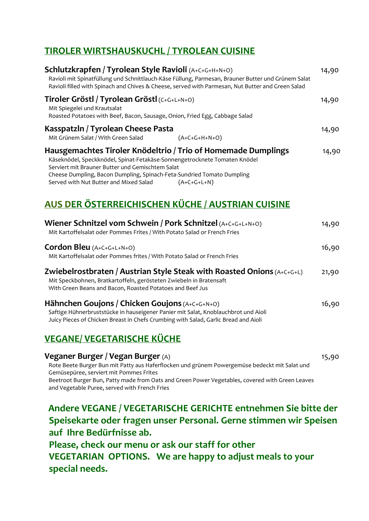## **TIROLER WIRTSHAUSKUCHL / TYROLEAN CUISINE**

| Schlutzkrapfen / Tyrolean Style Ravioli (A+C+G+H+N+O)<br>Ravioli mit Spinatfüllung und Schnittlauch-Käse Füllung, Parmesan, Brauner Butter und Grünem Salat<br>Ravioli filled with Spinach and Chives & Cheese, served with Parmesan, Nut Butter and Green Salad                                                                    | 14,90 |
|-------------------------------------------------------------------------------------------------------------------------------------------------------------------------------------------------------------------------------------------------------------------------------------------------------------------------------------|-------|
| Tiroler Gröstl / Tyrolean Gröstl (C+G+L+N+O)<br>Mit Spiegelei und Krautsalat<br>Roasted Potatoes with Beef, Bacon, Sausage, Onion, Fried Egg, Cabbage Salad                                                                                                                                                                         | 14,90 |
| Kasspatzln / Tyrolean Cheese Pasta<br>Mit Grünem Salat / With Green Salad<br>$(A+C+G+H+N+O)$                                                                                                                                                                                                                                        | 14,90 |
| Hausgemachtes Tiroler Knödeltrio / Trio of Homemade Dumplings<br>Käseknödel, Speckknödel, Spinat-Fetakäse-Sonnengetrocknete Tomaten Knödel<br>Serviert mit Brauner Butter und Gemischtem Salat<br>Cheese Dumpling, Bacon Dumpling, Spinach-Feta-Sundried Tomato Dumpling<br>Served with Nut Butter and Mixed Salad<br>$(A+C+G+L+N)$ | 14,90 |
| AUS DER ÖSTERREICHISCHEN KÜCHE / AUSTRIAN CUISINE                                                                                                                                                                                                                                                                                   |       |

| Wiener Schnitzel vom Schwein / Pork Schnitzel (A+C+G+L+N+O)<br>Mit Kartoffelsalat oder Pommes Frites / With Potato Salad or French Fries                                                                                    | 14,90 |
|-----------------------------------------------------------------------------------------------------------------------------------------------------------------------------------------------------------------------------|-------|
| <b>Cordon Bleu</b> $(A+C+G+L+N+O)$<br>Mit Kartoffelsalat oder Pommes frites / With Potato Salad or French Fries                                                                                                             | 16,90 |
| Zwiebelrostbraten / Austrian Style Steak with Roasted Onions $(A+C+G+L)$<br>Mit Speckbohnen, Bratkartoffeln, gerösteten Zwiebeln in Bratensaft<br>With Green Beans and Bacon, Roasted Potatoes and Beef Jus                 | 21,90 |
| Hähnchen Goujons / Chicken Goujons (A+C+G+N+O)<br>Saftige Hühnerbruststücke in hauseigener Panier mit Salat, Knoblauchbrot und Aioli<br>Juicy Pieces of Chicken Breast in Chefs Crumbing with Salad, Garlic Bread and Aioli | 16,90 |

# **VEGANE/ VEGETARISCHE KÜCHE**

**Veganer Burger / Vegan Burger** (A)15,90 Rote Beete Burger Bun mit Patty aus Haferflocken und grünem Powergemüse bedeckt mit Salat und Gemüsepüree, serviert mit Pommes Frites Beetroot Burger Bun, Patty made from Oats and Green Power Vegetables, covered with Green Leaves and Vegetable Puree, served with French Fries

 **Andere VEGANE / VEGETARISCHE GERICHTE entnehmen Sie bitte der Speisekarte oder fragen unser Personal. Gerne stimmen wir Speisen auf Ihre Bedürfnisse ab.**

 **Please, check our menu or ask our staff for other VEGETARIAN OPTIONS. We are happy to adjust meals to your special needs.**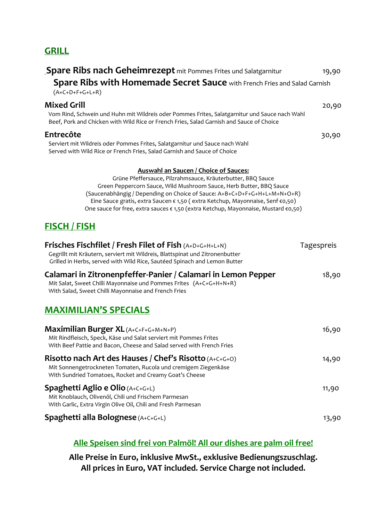#### **GRILL**

| Spare Ribs nach Geheimrezept mit Pommes Frites und Salatgarnitur<br><b>Spare Ribs with Homemade Secret Sauce</b> with French Fries and Salad Garnish<br>$(A+C+D+F+G+L+R)$                                                                                                                                                                                                                                                              | 19,90      |
|----------------------------------------------------------------------------------------------------------------------------------------------------------------------------------------------------------------------------------------------------------------------------------------------------------------------------------------------------------------------------------------------------------------------------------------|------------|
| <b>Mixed Grill</b><br>Vom Rind, Schwein und Huhn mit Wildreis oder Pommes Frites, Salatgarnitur und Sauce nach Wahl<br>Beef, Pork and Chicken with Wild Rice or French Fries, Salad Garnish and Sauce of Choice                                                                                                                                                                                                                        | 20,90      |
| <b>Entrecôte</b><br>Serviert mit Wildreis oder Pommes Frites, Salatgarnitur und Sauce nach Wahl<br>Served with Wild Rice or French Fries, Salad Garnish and Sauce of Choice                                                                                                                                                                                                                                                            | 30,90      |
| <b>Auswahl an Saucen / Choice of Sauces:</b><br>Grüne Pfeffersauce, Pilzrahmsauce, Kräuterbutter, BBQ Sauce<br>Green Peppercorn Sauce, Wild Mushroom Sauce, Herb Butter, BBQ Sauce<br>(Saucenabhängig / Depending on Choice of Sauce: A+B+C+D+F+G+H+L+M+N+O+R)<br>Eine Sauce gratis, extra Saucen € 1,50 (extra Ketchup, Mayonnaise, Senf €0,50)<br>One sauce for free, extra sauces € 1,50 (extra Ketchup, Mayonnaise, Mustard €0,50) |            |
| <u>FISCH / FISH</u>                                                                                                                                                                                                                                                                                                                                                                                                                    |            |
| Frisches Fischfilet / Fresh Filet of Fish $(A+D+G+H+L+N)$<br>Gegrillt mit Kräutern, serviert mit Wildreis, Blattspinat und Zitronenbutter<br>Grilled in Herbs, served with Wild Rice, Sautéed Spinach and Lemon Butter                                                                                                                                                                                                                 | Tagespreis |
| Calamari in Zitronenpfeffer-Panier / Calamari in Lemon Pepper<br>Mit Salat, Sweet Chilli Mayonnaise und Pommes Frites (A+C+G+H+N+R)<br>With Salad, Sweet Chilli Mayonnaise and French Fries                                                                                                                                                                                                                                            | 18,90      |
| <b>MAXIMILIAN'S SPECIALS</b>                                                                                                                                                                                                                                                                                                                                                                                                           |            |
| <b>Maximilian Burger XL</b> (A+C+F+G+M+N+P)<br>Mit Rindfleisch, Speck, Käse und Salat serviert mit Pommes Frites<br>With Beef Pattie and Bacon, Cheese and Salad served with French Fries                                                                                                                                                                                                                                              | 16,90      |
| Risotto nach Art des Hauses / Chef's Risotto (A+C+G+O)<br>Mit Sonnengetrockneten Tomaten, Rucola und cremigem Ziegenkäse<br>With Sundried Tomatoes, Rocket and Creamy Goat's Cheese                                                                                                                                                                                                                                                    | 14,90      |
| <b>Spaghetti Aglio e Olio (A+C+G+L)</b><br>Mit Knoblauch, Olivenöl, Chili und Frischem Parmesan<br>With Garlic, Extra Virgin Olive Oil, Chili and Fresh Parmesan                                                                                                                                                                                                                                                                       | 11,90      |
| <b>Spaghetti alla Bolognese</b> (A+C+G+L)                                                                                                                                                                                                                                                                                                                                                                                              | 13,90      |

#### **Alle Speisen sind frei von Palmöl! All our dishes are palm oil free!**

**Alle Preise in Euro, inklusive MwSt., exklusive Bedienungszuschlag. All prices in Euro, VAT included. Service Charge not included.**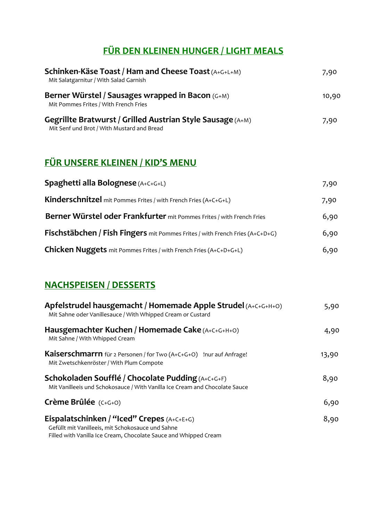# **FÜR DEN KLEINEN HUNGER / LIGHT MEALS**

| <b>Schinken-Käse Toast / Ham and Cheese Toast (A+G+L+M)</b><br>Mit Salatgarnitur / With Salad Garnish           | 7,90  |
|-----------------------------------------------------------------------------------------------------------------|-------|
| Berner Würstel / Sausages wrapped in Bacon (G+M)<br>Mit Pommes Frites / With French Fries                       | 10,90 |
| <b>Gegrillte Bratwurst / Grilled Austrian Style Sausage (A+M)</b><br>Mit Senf und Brot / With Mustard and Bread | 7,90  |

# **FÜR UNSERE KLEINEN / KID'S MENU**

| <b>Spaghetti alla Bolognese</b> (A+C+G+L)                                           | 7,90 |
|-------------------------------------------------------------------------------------|------|
| Kinderschnitzel mit Pommes Frites / with French Fries (A+C+G+L)                     | 7,90 |
| Berner Würstel oder Frankfurter mit Pommes Frites / with French Fries               | 6,90 |
| <b>Fischstäbchen / Fish Fingers</b> mit Pommes Frites / with French Fries (A+C+D+G) | 6,90 |
| <b>Chicken Nuggets</b> mit Pommes Frites / with French Fries (A+C+D+G+L)            | 6,90 |

# **NACHSPEISEN / DESSERTS**

| Apfelstrudel hausgemacht / Homemade Apple Strudel (A+C+G+H+O)<br>Mit Sahne oder Vanillesauce / With Whipped Cream or Custard                                          | 5,90  |
|-----------------------------------------------------------------------------------------------------------------------------------------------------------------------|-------|
| Hausgemachter Kuchen / Homemade Cake (A+C+G+H+O)<br>Mit Sahne / With Whipped Cream                                                                                    | 4,90  |
| <b>Kaiserschmarrn</b> für 2 Personen / for Two (A+C+G+O) !nur auf Anfrage!<br>Mit Zwetschkenröster / With Plum Compote                                                | 13,90 |
| <b>Schokoladen Soufflé / Chocolate Pudding</b> (A+C+G+F)<br>Mit Vanilleeis und Schokosauce / With Vanilla Ice Cream and Chocolate Sauce                               | 8,90  |
| Crème Brûlée (C+G+O)                                                                                                                                                  | 6,90  |
| Eispalatschinken / "Iced" Crepes $(A+C+E+G)$<br>Gefüllt mit Vanilleeis, mit Schokosauce und Sahne<br>Filled with Vanilla Ice Cream, Chocolate Sauce and Whipped Cream | 8,90  |